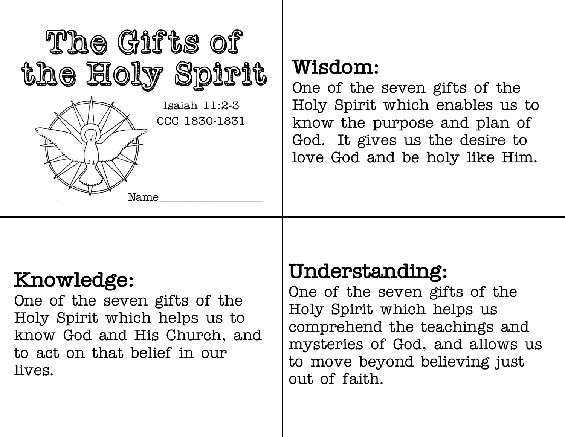

## **Wisdom:**

One of the seven gifts of the Holy Spirit which enables us to know the purpose and plan of God. It gives us the desire to love God and be holy like Him.

# **Knowledge:**

One of the seven gifts of the Holy Spirit which helps us to know God and His Church, and to act on that belief in our lives.

## **Understanding:**

One of the seven gifts of the Holy Spirit which helps us comprehend the teachings and mysteries of God, and allows us to move beyond believing just out of faith.